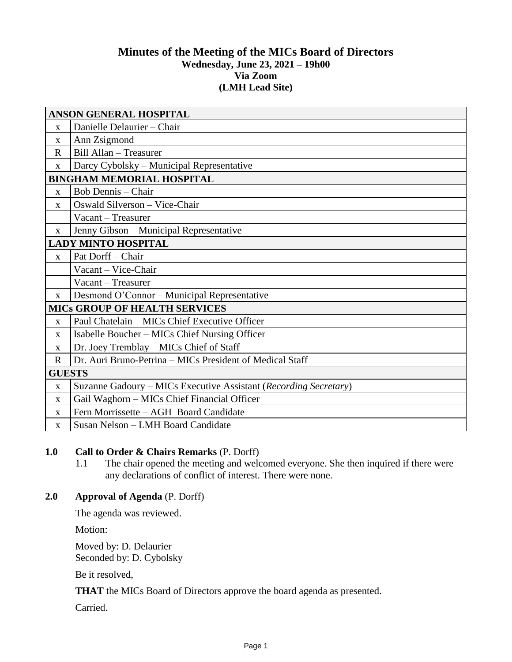## **Minutes of the Meeting of the MICs Board of Directors Wednesday, June 23, 2021 – 19h00 Via Zoom (LMH Lead Site)**

| <b>ANSON GENERAL HOSPITAL</b>        |                                                                  |
|--------------------------------------|------------------------------------------------------------------|
| $\mathbf{X}$                         | Danielle Delaurier - Chair                                       |
| X                                    | Ann Zsigmond                                                     |
| $\mathbf R$                          | Bill Allan - Treasurer                                           |
| $\mathbf{X}$                         | Darcy Cybolsky – Municipal Representative                        |
| <b>BINGHAM MEMORIAL HOSPITAL</b>     |                                                                  |
| $\mathbf{X}$                         | <b>Bob Dennis</b> – Chair                                        |
| $\mathbf X$                          | Oswald Silverson - Vice-Chair                                    |
|                                      | Vacant – Treasurer                                               |
| $\mathbf{X}$                         | Jenny Gibson - Municipal Representative                          |
| <b>LADY MINTO HOSPITAL</b>           |                                                                  |
| $\mathbf{X}$                         | Pat Dorff - Chair                                                |
|                                      | Vacant - Vice-Chair                                              |
|                                      | Vacant - Treasurer                                               |
| $\mathbf{X}$                         | Desmond O'Connor – Municipal Representative                      |
| <b>MICS GROUP OF HEALTH SERVICES</b> |                                                                  |
| $\mathbf{X}$                         | Paul Chatelain - MICs Chief Executive Officer                    |
| $\mathbf{x}$                         | Isabelle Boucher – MICs Chief Nursing Officer                    |
| $\mathbf{X}$                         | Dr. Joey Tremblay - MICs Chief of Staff                          |
| $\mathbf R$                          | Dr. Auri Bruno-Petrina - MICs President of Medical Staff         |
| <b>GUESTS</b>                        |                                                                  |
| $\mathbf{X}$                         | Suzanne Gadoury – MICs Executive Assistant (Recording Secretary) |
| $\mathbf{X}$                         | Gail Waghorn - MICs Chief Financial Officer                      |
| $\mathbf{X}$                         | Fern Morrissette - AGH Board Candidate                           |
| $\mathbf{X}$                         | Susan Nelson - LMH Board Candidate                               |

# **1.0 Call to Order & Chairs Remarks** (P. Dorff)

1.1 The chair opened the meeting and welcomed everyone. She then inquired if there were any declarations of conflict of interest. There were none.

## **2.0 Approval of Agenda** (P. Dorff)

The agenda was reviewed.

Motion:

Moved by: D. Delaurier Seconded by: D. Cybolsky

Be it resolved,

**THAT** the MICs Board of Directors approve the board agenda as presented.

Carried.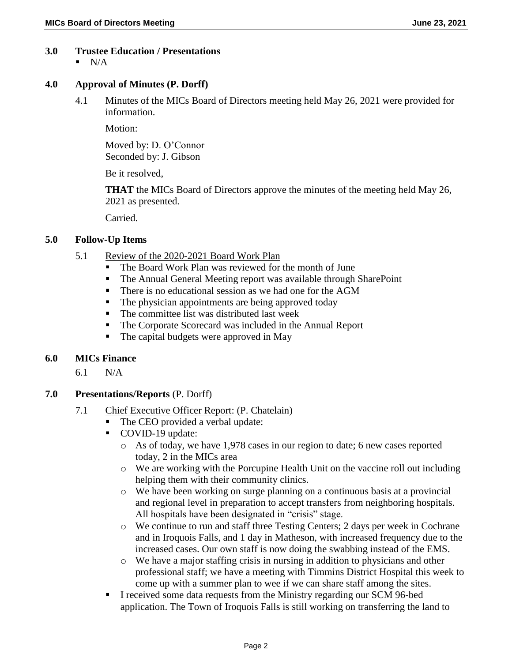## **3.0 Trustee Education / Presentations**

 $N/A$ 

#### **4.0 Approval of Minutes (P. Dorff)**

4.1 Minutes of the MICs Board of Directors meeting held May 26, 2021 were provided for information.

Motion:

Moved by: D. O'Connor Seconded by: J. Gibson

Be it resolved,

**THAT** the MICs Board of Directors approve the minutes of the meeting held May 26, 2021 as presented.

Carried.

### **5.0 Follow-Up Items**

- 5.1 Review of the 2020-2021 Board Work Plan
	- The Board Work Plan was reviewed for the month of June
	- The Annual General Meeting report was available through SharePoint
	- There is no educational session as we had one for the AGM
	- The physician appointments are being approved today
	- The committee list was distributed last week
	- The Corporate Scorecard was included in the Annual Report
	- The capital budgets were approved in May

## **6.0 MICs Finance**

6.1 N/A

## **7.0 Presentations/Reports** (P. Dorff)

- 7.1 Chief Executive Officer Report: (P. Chatelain)
	- The CEO provided a verbal update:
	- COVID-19 update:
		- o As of today, we have 1,978 cases in our region to date; 6 new cases reported today, 2 in the MICs area
		- o We are working with the Porcupine Health Unit on the vaccine roll out including helping them with their community clinics.
		- o We have been working on surge planning on a continuous basis at a provincial and regional level in preparation to accept transfers from neighboring hospitals. All hospitals have been designated in "crisis" stage.
		- o We continue to run and staff three Testing Centers; 2 days per week in Cochrane and in Iroquois Falls, and 1 day in Matheson, with increased frequency due to the increased cases. Our own staff is now doing the swabbing instead of the EMS.
		- o We have a major staffing crisis in nursing in addition to physicians and other professional staff; we have a meeting with Timmins District Hospital this week to come up with a summer plan to wee if we can share staff among the sites.
	- I received some data requests from the Ministry regarding our SCM 96-bed application. The Town of Iroquois Falls is still working on transferring the land to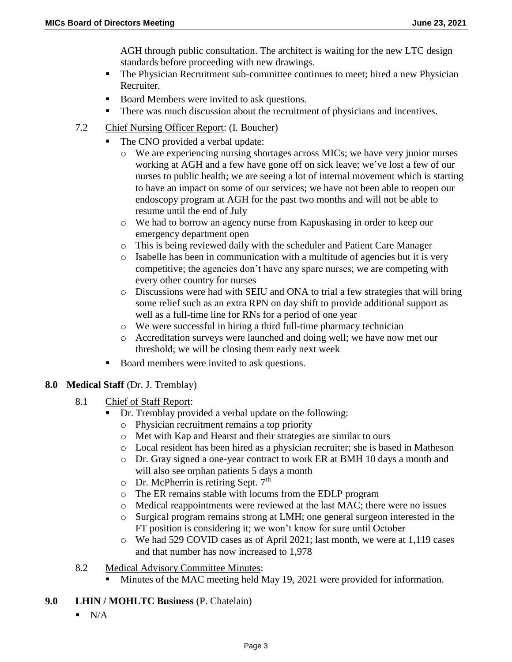AGH through public consultation. The architect is waiting for the new LTC design standards before proceeding with new drawings.

- The Physician Recruitment sub-committee continues to meet; hired a new Physician Recruiter.
- Board Members were invited to ask questions.
- There was much discussion about the recruitment of physicians and incentives.
- 7.2 Chief Nursing Officer Report: (I. Boucher)
	- The CNO provided a verbal update:
		- o We are experiencing nursing shortages across MICs; we have very junior nurses working at AGH and a few have gone off on sick leave; we've lost a few of our nurses to public health; we are seeing a lot of internal movement which is starting to have an impact on some of our services; we have not been able to reopen our endoscopy program at AGH for the past two months and will not be able to resume until the end of July
		- o We had to borrow an agency nurse from Kapuskasing in order to keep our emergency department open
		- o This is being reviewed daily with the scheduler and Patient Care Manager
		- o Isabelle has been in communication with a multitude of agencies but it is very competitive; the agencies don't have any spare nurses; we are competing with every other country for nurses
		- o Discussions were had with SEIU and ONA to trial a few strategies that will bring some relief such as an extra RPN on day shift to provide additional support as well as a full-time line for RNs for a period of one year
		- o We were successful in hiring a third full-time pharmacy technician
		- o Accreditation surveys were launched and doing well; we have now met our threshold; we will be closing them early next week
	- Board members were invited to ask questions.

## **8.0 Medical Staff** (Dr. J. Tremblay)

- 8.1 Chief of Staff Report:
	- Dr. Tremblay provided a verbal update on the following:
		- o Physician recruitment remains a top priority
		- o Met with Kap and Hearst and their strategies are similar to ours
		- o Local resident has been hired as a physician recruiter; she is based in Matheson
		- o Dr. Gray signed a one-year contract to work ER at BMH 10 days a month and will also see orphan patients 5 days a month
		- $\circ$  Dr. McPherrin is retiring Sept. 7<sup>th</sup>
		- o The ER remains stable with locums from the EDLP program
		- o Medical reappointments were reviewed at the last MAC; there were no issues
		- o Surgical program remains strong at LMH; one general surgeon interested in the FT position is considering it; we won't know for sure until October
		- o We had 529 COVID cases as of April 2021; last month, we were at 1,119 cases and that number has now increased to 1,978
- 8.2 Medical Advisory Committee Minutes:
	- Minutes of the MAC meeting held May 19, 2021 were provided for information.
- **9.0 LHIN / MOHLTC Business** (P. Chatelain)
	- $\blacksquare$  N/A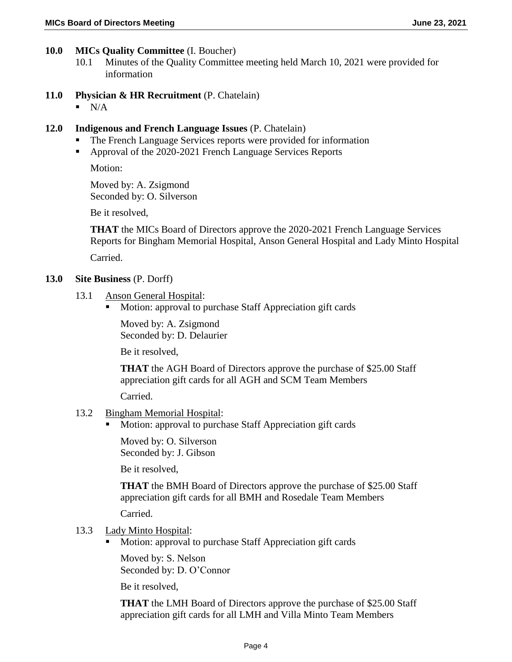- 10.1 Minutes of the Quality Committee meeting held March 10, 2021 were provided for information
- **11.0 Physician & HR Recruitment** (P. Chatelain)
	- $\blacksquare$  N/A
- **12.0 Indigenous and French Language Issues** (P. Chatelain)
	- The French Language Services reports were provided for information
	- **Approval of the 2020-2021 French Language Services Reports**

Motion:

Moved by: A. Zsigmond Seconded by: O. Silverson

Be it resolved,

**THAT** the MICs Board of Directors approve the 2020-2021 French Language Services Reports for Bingham Memorial Hospital, Anson General Hospital and Lady Minto Hospital Carried.

## **13.0 Site Business** (P. Dorff)

- 13.1 Anson General Hospital:
	- Motion: approval to purchase Staff Appreciation gift cards

Moved by: A. Zsigmond Seconded by: D. Delaurier

Be it resolved,

**THAT** the AGH Board of Directors approve the purchase of \$25.00 Staff appreciation gift cards for all AGH and SCM Team Members

Carried.

## 13.2 Bingham Memorial Hospital:

Motion: approval to purchase Staff Appreciation gift cards

Moved by: O. Silverson Seconded by: J. Gibson

Be it resolved,

**THAT** the BMH Board of Directors approve the purchase of \$25.00 Staff appreciation gift cards for all BMH and Rosedale Team Members

Carried.

- 13.3 Lady Minto Hospital:
	- **Motion: approval to purchase Staff Appreciation gift cards**

Moved by: S. Nelson Seconded by: D. O'Connor

Be it resolved,

**THAT** the LMH Board of Directors approve the purchase of \$25.00 Staff appreciation gift cards for all LMH and Villa Minto Team Members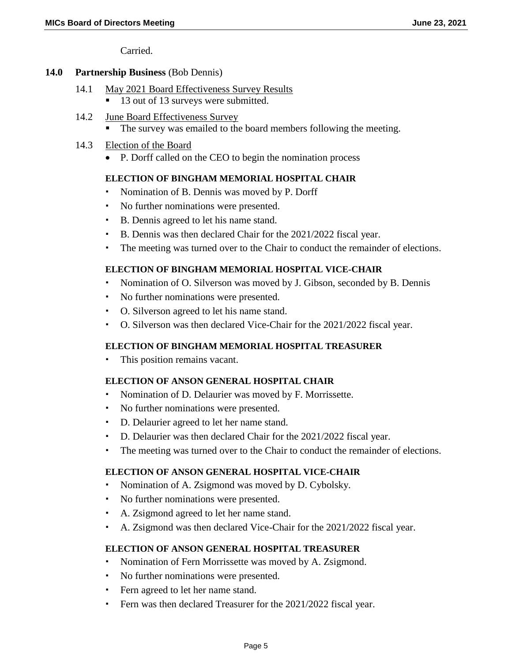Carried.

#### **14.0 Partnership Business** (Bob Dennis)

- 14.1 May 2021 Board Effectiveness Survey Results
	- 13 out of 13 surveys were submitted.
- 14.2 June Board Effectiveness Survey
	- The survey was emailed to the board members following the meeting.
- 14.3 Election of the Board
	- P. Dorff called on the CEO to begin the nomination process

#### **ELECTION OF BINGHAM MEMORIAL HOSPITAL CHAIR**

- Nomination of B. Dennis was moved by P. Dorff
- No further nominations were presented.
- B. Dennis agreed to let his name stand.
- B. Dennis was then declared Chair for the 2021/2022 fiscal year.
- The meeting was turned over to the Chair to conduct the remainder of elections.

#### **ELECTION OF BINGHAM MEMORIAL HOSPITAL VICE-CHAIR**

- Nomination of O. Silverson was moved by J. Gibson, seconded by B. Dennis
- No further nominations were presented.
- O. Silverson agreed to let his name stand.
- O. Silverson was then declared Vice-Chair for the 2021/2022 fiscal year.

#### **ELECTION OF BINGHAM MEMORIAL HOSPITAL TREASURER**

This position remains vacant.

#### **ELECTION OF ANSON GENERAL HOSPITAL CHAIR**

- Nomination of D. Delaurier was moved by F. Morrissette.
- No further nominations were presented.
- D. Delaurier agreed to let her name stand.
- D. Delaurier was then declared Chair for the 2021/2022 fiscal year.
- The meeting was turned over to the Chair to conduct the remainder of elections.

#### **ELECTION OF ANSON GENERAL HOSPITAL VICE-CHAIR**

- Nomination of A. Zsigmond was moved by D. Cybolsky.
- No further nominations were presented.
- A. Zsigmond agreed to let her name stand.
- A. Zsigmond was then declared Vice-Chair for the 2021/2022 fiscal year.

#### **ELECTION OF ANSON GENERAL HOSPITAL TREASURER**

- Nomination of Fern Morrissette was moved by A. Zsigmond.
- No further nominations were presented.
- Fern agreed to let her name stand.
- Fern was then declared Treasurer for the 2021/2022 fiscal year.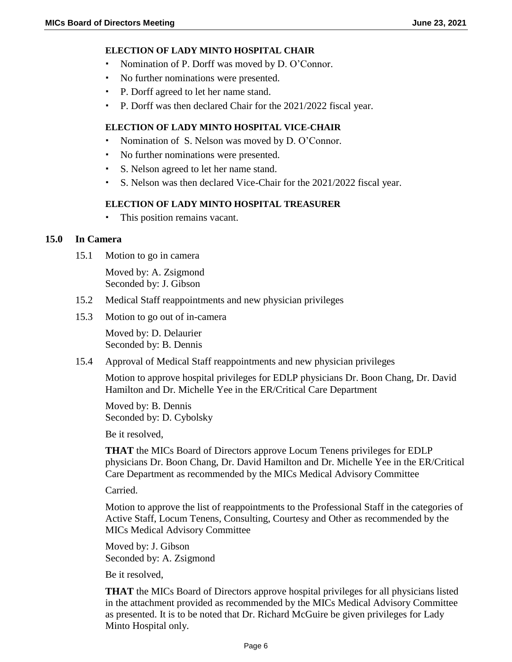#### **ELECTION OF LADY MINTO HOSPITAL CHAIR**

- Nomination of P. Dorff was moved by D. O'Connor.
- No further nominations were presented.
- P. Dorff agreed to let her name stand.
- P. Dorff was then declared Chair for the 2021/2022 fiscal year.

#### **ELECTION OF LADY MINTO HOSPITAL VICE-CHAIR**

- Nomination of S. Nelson was moved by D. O'Connor.
- No further nominations were presented.
- S. Nelson agreed to let her name stand.
- S. Nelson was then declared Vice-Chair for the 2021/2022 fiscal year.

#### **ELECTION OF LADY MINTO HOSPITAL TREASURER**

This position remains vacant.

#### **15.0 In Camera**

15.1 Motion to go in camera

Moved by: A. Zsigmond Seconded by: J. Gibson

- 15.2 Medical Staff reappointments and new physician privileges
- 15.3 Motion to go out of in-camera

Moved by: D. Delaurier Seconded by: B. Dennis

15.4 Approval of Medical Staff reappointments and new physician privileges

Motion to approve hospital privileges for EDLP physicians Dr. Boon Chang, Dr. David Hamilton and Dr. Michelle Yee in the ER/Critical Care Department

Moved by: B. Dennis Seconded by: D. Cybolsky

Be it resolved,

**THAT** the MICs Board of Directors approve Locum Tenens privileges for EDLP physicians Dr. Boon Chang, Dr. David Hamilton and Dr. Michelle Yee in the ER/Critical Care Department as recommended by the MICs Medical Advisory Committee

Carried.

Motion to approve the list of reappointments to the Professional Staff in the categories of Active Staff, Locum Tenens, Consulting, Courtesy and Other as recommended by the MICs Medical Advisory Committee

Moved by: J. Gibson Seconded by: A. Zsigmond

Be it resolved,

**THAT** the MICs Board of Directors approve hospital privileges for all physicians listed in the attachment provided as recommended by the MICs Medical Advisory Committee as presented. It is to be noted that Dr. Richard McGuire be given privileges for Lady Minto Hospital only.